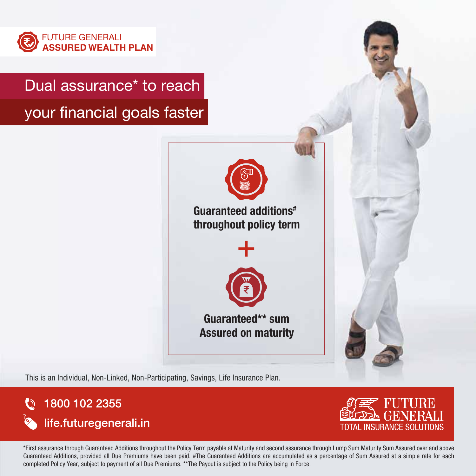

# Dual assurance\* to reach

your financial goals faster



Guaranteed additions# throughout policy term



Guaranteed\*\* sum Assured on maturity



This is an Individual, Non-Linked, Non-Participating, Savings, Life Insurance Plan.





\*First assurance through Guaranteed Additions throughout the Policy Term payable at Maturity and second assurance through Lump Sum Maturity Sum Assured over and above Guaranteed Additions, provided all Due Premiums have been paid. #The Guaranteed Additions are accumulated as a percentage of Sum Assured at a simple rate for each completed Policy Year, subject to payment of all Due Premiums. \*\*The Payout is subject to the Policy being in Force.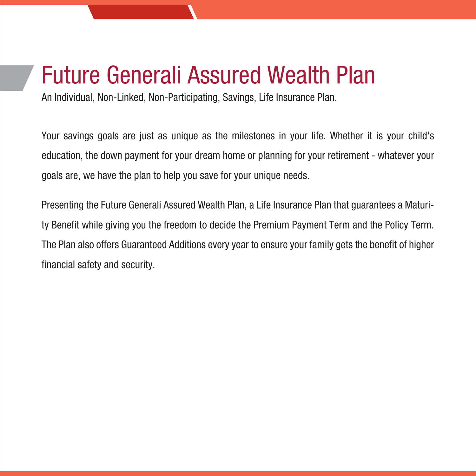# Future Generali Assured Wealth Plan

An Individual, Non-Linked, Non-Participating, Savings, Life Insurance Plan.

Your savings goals are just as unique as the milestones in your life. Whether it is your child's education, the down payment for your dream home or planning for your retirement - whatever your goals are, we have the plan to help you save for your unique needs.

Presenting the Future Generali Assured Wealth Plan, a Life Insurance Plan that guarantees a Maturity Benefit while giving you the freedom to decide the Premium Payment Term and the Policy Term. The Plan also offers Guaranteed Additions every year to ensure your family gets the benefit of higher financial safety and security.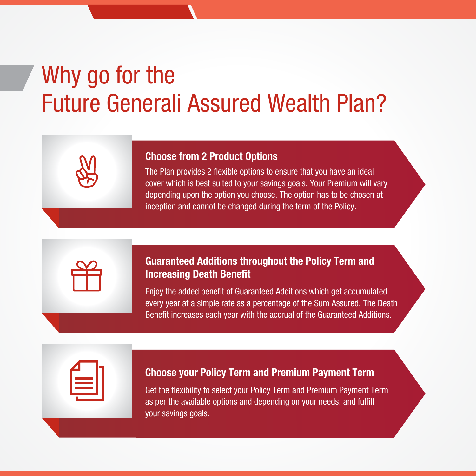# Why go for the Future Generali Assured Wealth Plan?

#### Choose from 2 Product Options

The Plan provides 2 flexible options to ensure that you have an ideal cover which is best suited to your savings goals. Your Premium will vary depending upon the option you choose. The option has to be chosen at inception and cannot be changed during the term of the Policy.

### Guaranteed Additions throughout the Policy Term and Increasing Death Benefit

Enjoy the added benefit of Guaranteed Additions which get accumulated every year at a simple rate as a percentage of the Sum Assured. The Death Benefit increases each year with the accrual of the Guaranteed Additions.

#### Choose your Policy Term and Premium Payment Term

Get the flexibility to select your Policy Term and Premium Payment Term as per the available options and depending on your needs, and fulfill your savings goals.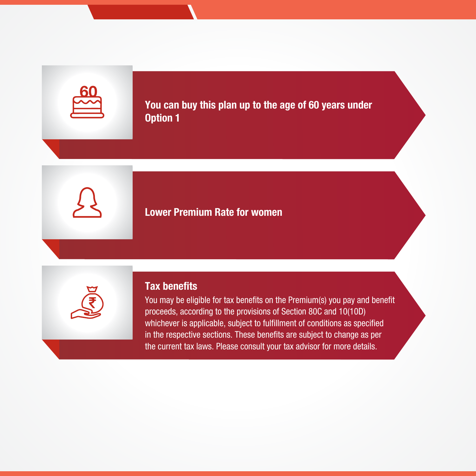You can buy this plan up to the age of 60 years under Option 1

# Lower Premium Rate for women



### Tax benefits

You may be eligible for tax benefits on the Premium(s) you pay and benefit proceeds, according to the provisions of Section 80C and 10(10D) whichever is applicable, subject to fulfillment of conditions as specified in the respective sections. These benefits are subject to change as per the current tax laws. Please consult your tax advisor for more details.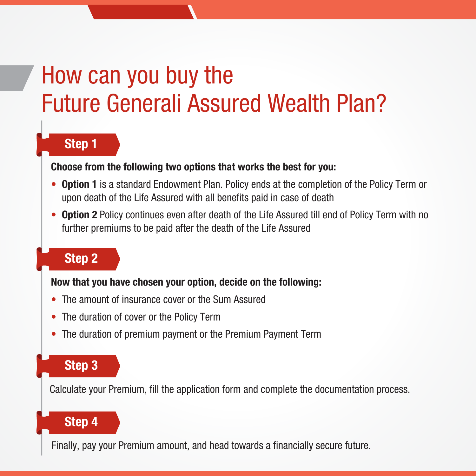# How can you buy the Future Generali Assured Wealth Plan?

# Step 1

#### Choose from the following two options that works the best for you:

- Option 1 is a standard Endowment Plan. Policy ends at the completion of the Policy Term or upon death of the Life Assured with all benefits paid in case of death
- Option 2 Policy continues even after death of the Life Assured till end of Policy Term with no further premiums to be paid after the death of the Life Assured

# Step 2

#### Now that you have chosen your option, decide on the following:

- The amount of insurance cover or the Sum Assured
- The duration of cover or the Policy Term
- The duration of premium payment or the Premium Payment Term

# Step 3

Calculate your Premium, fill the application form and complete the documentation process.

# Step 4

Finally, pay your Premium amount, and head towards a financially secure future.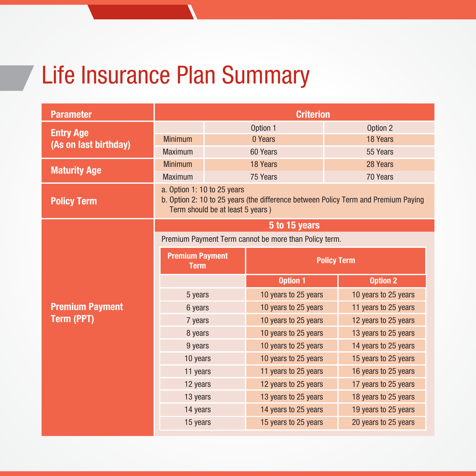# Life Insurance Plan Summary

| <b>Parameter</b>       | <b>Criterion</b>                                                                                                                                      |  |                      |                      |
|------------------------|-------------------------------------------------------------------------------------------------------------------------------------------------------|--|----------------------|----------------------|
| <b>Entry Age</b>       |                                                                                                                                                       |  | Option 1             | Option 2             |
| (As on last birthday)  | <b>Minimum</b>                                                                                                                                        |  | 0 Years              | 18 Years             |
|                        | <b>Maximum</b>                                                                                                                                        |  | 60 Years             | 55 Years             |
| <b>Maturity Age</b>    | <b>Minimum</b>                                                                                                                                        |  | 18 Years             | 28 Years             |
|                        | <b>Maximum</b>                                                                                                                                        |  | 75 Years             | 70 Years             |
| <b>Policy Term</b>     | a. Option 1: 10 to 25 years<br>b. Option 2: 10 to 25 years (the difference between Policy Term and Premium Paying<br>Term should be at least 5 years) |  |                      |                      |
|                        | 5 to 15 years                                                                                                                                         |  |                      |                      |
|                        | Premium Payment Term cannot be more than Policy term.                                                                                                 |  |                      |                      |
|                        | <b>Premium Payment</b><br><b>Term</b>                                                                                                                 |  | <b>Policy Term</b>   |                      |
|                        |                                                                                                                                                       |  |                      |                      |
|                        |                                                                                                                                                       |  | <b>Option 1</b>      | <b>Option 2</b>      |
|                        | 5 years                                                                                                                                               |  | 10 years to 25 years | 10 years to 25 years |
| <b>Premium Payment</b> | 6 years                                                                                                                                               |  | 10 years to 25 years | 11 years to 25 years |
| <b>Term (PPT)</b>      | 7 years                                                                                                                                               |  | 10 years to 25 years | 12 years to 25 years |
|                        | 8 years                                                                                                                                               |  | 10 years to 25 years | 13 years to 25 years |
|                        | 9 years                                                                                                                                               |  | 10 years to 25 years | 14 years to 25 years |
|                        | 10 years                                                                                                                                              |  | 10 years to 25 years | 15 years to 25 years |
|                        | 11 years                                                                                                                                              |  | 11 years to 25 years | 16 years to 25 years |
|                        | 12 years                                                                                                                                              |  | 12 years to 25 years | 17 years to 25 years |
|                        | 13 years                                                                                                                                              |  | 13 years to 25 years | 18 years to 25 years |
|                        | 14 years                                                                                                                                              |  | 14 years to 25 years | 19 years to 25 years |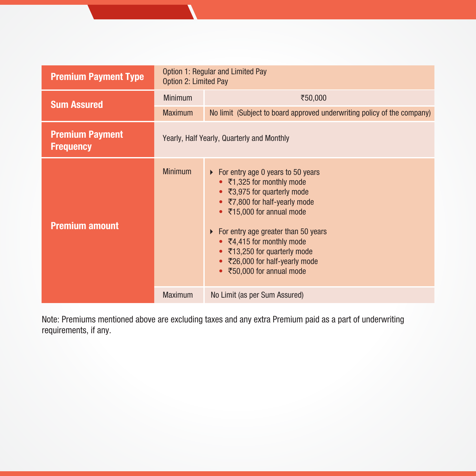| <b>Premium Payment Type</b>                | Option 1: Regular and Limited Pay<br>Option 2: Limited Pay |                                                                                                                                                                                                                                                                                                                                                                             |  |
|--------------------------------------------|------------------------------------------------------------|-----------------------------------------------------------------------------------------------------------------------------------------------------------------------------------------------------------------------------------------------------------------------------------------------------------------------------------------------------------------------------|--|
| <b>Sum Assured</b>                         | <b>Minimum</b>                                             | ₹50,000                                                                                                                                                                                                                                                                                                                                                                     |  |
|                                            | <b>Maximum</b>                                             | No limit (Subject to board approved underwriting policy of the company)                                                                                                                                                                                                                                                                                                     |  |
| <b>Premium Payment</b><br><b>Frequency</b> | Yearly, Half Yearly, Quarterly and Monthly                 |                                                                                                                                                                                                                                                                                                                                                                             |  |
| <b>Premium amount</b>                      | <b>Minimum</b>                                             | $\triangleright$ For entry age 0 years to 50 years<br>• ₹1,325 for monthly mode<br>● ₹3,975 for quarterly mode<br>• ₹7,800 for half-yearly mode<br>• ₹15,000 for annual mode<br>$\triangleright$ For entry age greater than 50 years<br>• $\overline{5}4,415$ for monthly mode<br>• ₹13,250 for quarterly mode<br>● ₹26,000 for half-yearly mode<br>₹50,000 for annual mode |  |
|                                            | <b>Maximum</b>                                             | No Limit (as per Sum Assured)                                                                                                                                                                                                                                                                                                                                               |  |

Note: Premiums mentioned above are excluding taxes and any extra Premium paid as a part of underwriting requirements, if any.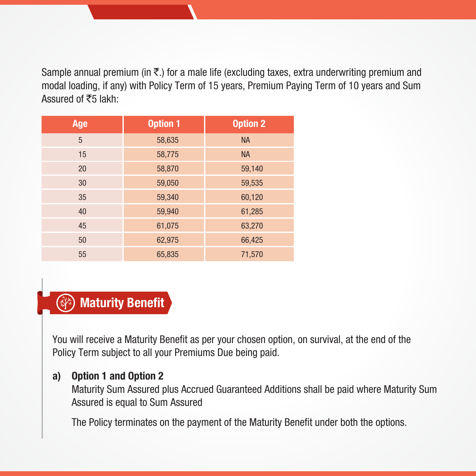Sample annual premium (in  $\bar{\tau}$ .) for a male life (excluding taxes, extra underwriting premium and modal loading, if any) with Policy Term of 15 years, Premium Paying Term of 10 years and Sum Assured of  $\overline{5}5$  lakh:

| Age | <b>Option 1</b> | <b>Option 2</b> |
|-----|-----------------|-----------------|
| 5   | 58,635          | <b>NA</b>       |
| 15  | 58,775          | <b>NA</b>       |
| 20  | 58,870          | 59,140          |
| 30  | 59,050          | 59,535          |
| 35  | 59,340          | 60,120          |
| 40  | 59,940          | 61,285          |
| 45  | 61,075          | 63,270          |
| 50  | 62,975          | 66,425          |
| 55  | 65,835          | 71,570          |

# Maturity Benefit

You will receive a Maturity Benefit as per your chosen option, on survival, at the end of the Policy Term subject to all your Premiums Due being paid.

# a) Option 1 and Option 2

Maturity Sum Assured plus Accrued Guaranteed Additions shall be paid where Maturity Sum Assured is equal to Sum Assured

The Policy terminates on the payment of the Maturity Benefit under both the options.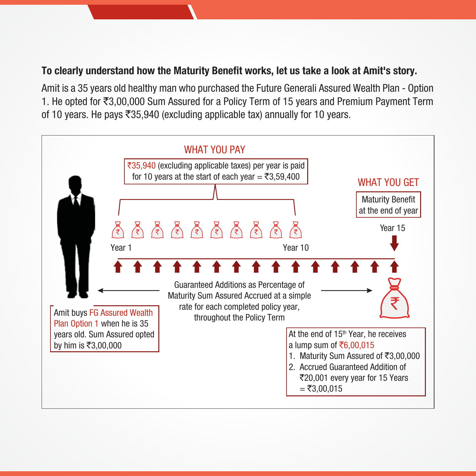# To clearly understand how the Maturity Benefit works, let us take a look at Amit's story.

Amit is a 35 years old healthy man who purchased the Future Generali Assured Wealth Plan - Option 1. He opted for  $\bar{\mathfrak{z}}3,00,000$  Sum Assured for a Policy Term of 15 years and Premium Payment Term of 10 years. He pays  $\overline{3}35,940$  (excluding applicable tax) annually for 10 years.

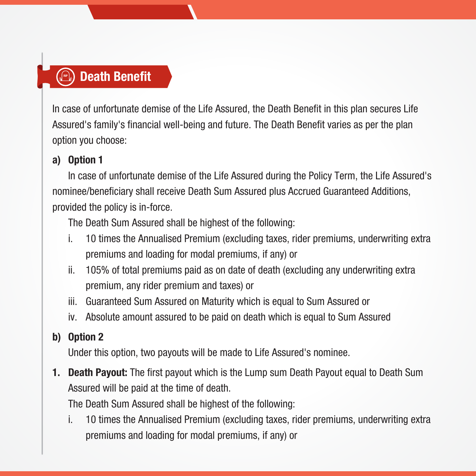# **Death Benefit**

In case of unfortunate demise of the Life Assured, the Death Benefit in this plan secures Life Assured's family's financial well-being and future. The Death Benefit varies as per the plan option you choose:

# a) Option 1

In case of unfortunate demise of the Life Assured during the Policy Term, the Life Assured's nominee/beneficiary shall receive Death Sum Assured plus Accrued Guaranteed Additions, provided the policy is in-force.

The Death Sum Assured shall be highest of the following:

- i. 10 times the Annualised Premium (excluding taxes, rider premiums, underwriting extra premiums and loading for modal premiums, if any) or
- ii. 105% of total premiums paid as on date of death (excluding any underwriting extra premium, any rider premium and taxes) or
- iii. Guaranteed Sum Assured on Maturity which is equal to Sum Assured or
- iv. Absolute amount assured to be paid on death which is equal to Sum Assured

# b) Option 2

Under this option, two payouts will be made to Life Assured's nominee.

**1. Death Payout:** The first payout which is the Lump sum Death Payout equal to Death Sum Assured will be paid at the time of death.

The Death Sum Assured shall be highest of the following:

 i. 10 times the Annualised Premium (excluding taxes, rider premiums, underwriting extra premiums and loading for modal premiums, if any) or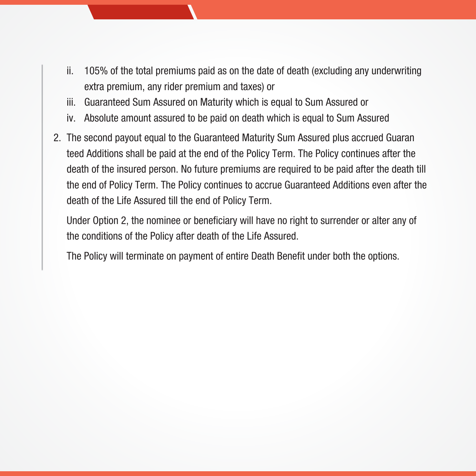- ii. 105% of the total premiums paid as on the date of death (excluding any underwriting extra premium, any rider premium and taxes) or
- iii. Guaranteed Sum Assured on Maturity which is equal to Sum Assured or
- iv. Absolute amount assured to be paid on death which is equal to Sum Assured
- 2. The second payout equal to the Guaranteed Maturity Sum Assured plus accrued Guaran teed Additions shall be paid at the end of the Policy Term. The Policy continues after the death of the insured person. No future premiums are required to be paid after the death till the end of Policy Term. The Policy continues to accrue Guaranteed Additions even after the death of the Life Assured till the end of Policy Term.

Under Option 2, the nominee or beneficiary will have no right to surrender or alter any of the conditions of the Policy after death of the Life Assured.

The Policy will terminate on payment of entire Death Benefit under both the options.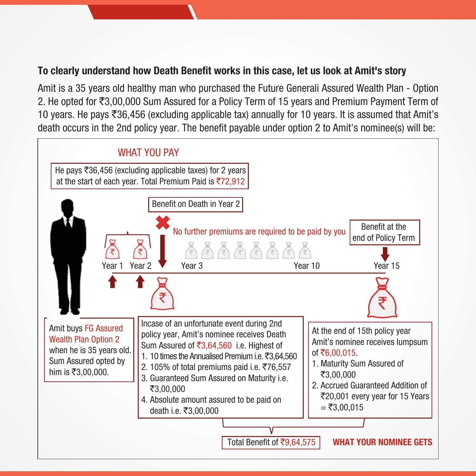# To clearly understand how Death Benefit works in this case, let us look at Amit's story

Amit is a 35 years old healthy man who purchased the Future Generali Assured Wealth Plan - Option 2. He opted for  $\bar{\tau}3,00,000$  Sum Assured for a Policy Term of 15 years and Premium Payment Term of 10 years. He pays  $\overline{5}36,456$  (excluding applicable tax) annually for 10 years. It is assumed that Amit's death occurs in the 2nd policy year. The benefit payable under option 2 to Amit's nominee(s) will be:

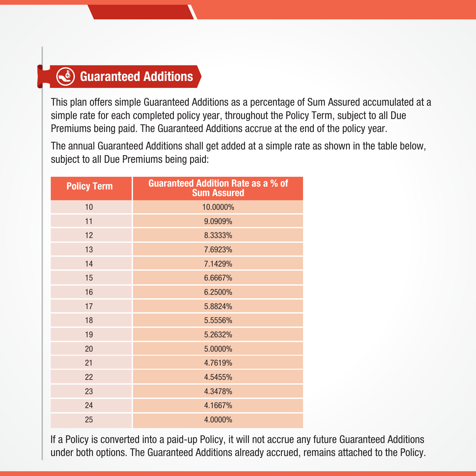# Guaranteed Additions

This plan offers simple Guaranteed Additions as a percentage of Sum Assured accumulated at a simple rate for each completed policy year, throughout the Policy Term, subject to all Due Premiums being paid. The Guaranteed Additions accrue at the end of the policy year.

The annual Guaranteed Additions shall get added at a simple rate as shown in the table below, subject to all Due Premiums being paid:

| <b>Policy Term</b> | <b>Guaranteed Addition Rate as a % of</b><br><b>Sum Assured</b> |
|--------------------|-----------------------------------------------------------------|
| 10                 | 10.0000%                                                        |
| 11                 | 9.0909%                                                         |
| 12                 | 8.3333%                                                         |
| 13                 | 7.6923%                                                         |
| 14                 | 7.1429%                                                         |
| 15                 | 6.6667%                                                         |
| 16                 | 6.2500%                                                         |
| 17                 | 5.8824%                                                         |
| 18                 | 5.5556%                                                         |
| 19                 | 5.2632%                                                         |
| 20                 | 5.0000%                                                         |
| 21                 | 4.7619%                                                         |
| 22                 | 4.5455%                                                         |
| 23                 | 4.3478%                                                         |
| 24                 | 4.1667%                                                         |
| 25                 | 4.0000%                                                         |

If a Policy is converted into a paid-up Policy, it will not accrue any future Guaranteed Additions under both options. The Guaranteed Additions already accrued, remains attached to the Policy.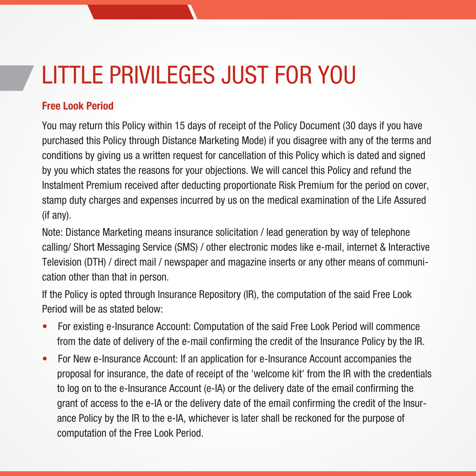# LITTLE PRIVILEGES JUST FOR YOU

# Free Look Period

You may return this Policy within 15 days of receipt of the Policy Document (30 days if you have purchased this Policy through Distance Marketing Mode) if you disagree with any of the terms and conditions by giving us a written request for cancellation of this Policy which is dated and signed by you which states the reasons for your objections. We will cancel this Policy and refund the Instalment Premium received after deducting proportionate Risk Premium for the period on cover, stamp duty charges and expenses incurred by us on the medical examination of the Life Assured (if any).

Note: Distance Marketing means insurance solicitation / lead generation by way of telephone calling/ Short Messaging Service (SMS) / other electronic modes like e-mail, internet & Interactive Television (DTH) / direct mail / newspaper and magazine inserts or any other means of communication other than that in person.

If the Policy is opted through Insurance Repository (IR), the computation of the said Free Look Period will be as stated below:

- For existing e-Insurance Account: Computation of the said Free Look Period will commence from the date of delivery of the e-mail confirming the credit of the Insurance Policy by the IR.
- For New e-Insurance Account: If an application for e-Insurance Account accompanies the proposal for insurance, the date of receipt of the 'welcome kit' from the IR with the credentials to log on to the e-Insurance Account (e-IA) or the delivery date of the email confirming the grant of access to the e-IA or the delivery date of the email confirming the credit of the Insurance Policy by the IR to the e-IA, whichever is later shall be reckoned for the purpose of computation of the Free Look Period.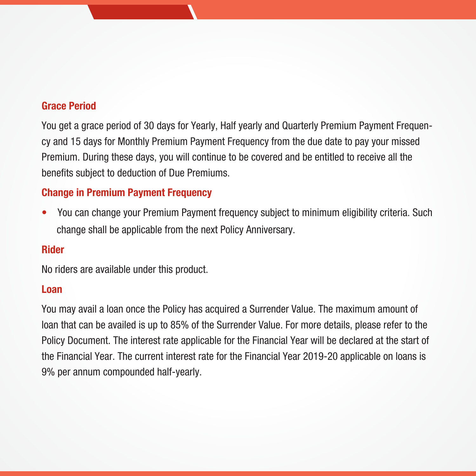# Grace Period

You get a grace period of 30 days for Yearly, Half yearly and Quarterly Premium Payment Frequency and 15 days for Monthly Premium Payment Frequency from the due date to pay your missed Premium. During these days, you will continue to be covered and be entitled to receive all the benefits subject to deduction of Due Premiums.

# Change in Premium Payment Frequency

• You can change your Premium Payment frequency subject to minimum eligibility criteria. Such change shall be applicable from the next Policy Anniversary.

#### Rider

No riders are available under this product.

#### Loan

You may avail a loan once the Policy has acquired a Surrender Value. The maximum amount of loan that can be availed is up to 85% of the Surrender Value. For more details, please refer to the Policy Document. The interest rate applicable for the Financial Year will be declared at the start of the Financial Year. The current interest rate for the Financial Year 2019-20 applicable on loans is 9% per annum compounded half-yearly.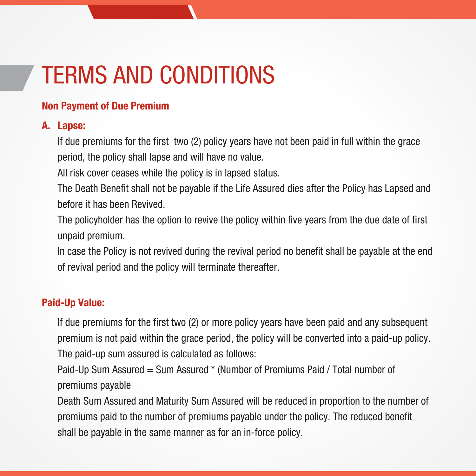# TERMS AND CONDITIONS

# Non Payment of Due Premium

### A. Lapse:

 If due premiums for the first two (2) policy years have not been paid in full within the grace period, the policy shall lapse and will have no value.

All risk cover ceases while the policy is in lapsed status.

 The Death Benefit shall not be payable if the Life Assured dies after the Policy has Lapsed and before it has been Revived.

 The policyholder has the option to revive the policy within five years from the due date of first unpaid premium.

 In case the Policy is not revived during the revival period no benefit shall be payable at the end of revival period and the policy will terminate thereafter.

# Paid-Up Value:

If due premiums for the first two (2) or more policy years have been paid and any subsequent premium is not paid within the grace period, the policy will be converted into a paid-up policy. The paid-up sum assured is calculated as follows:

 Paid-Up Sum Assured = Sum Assured \* (Number of Premiums Paid / Total number of premiums payable

 Death Sum Assured and Maturity Sum Assured will be reduced in proportion to the number of premiums paid to the number of premiums payable under the policy. The reduced benefit shall be payable in the same manner as for an in-force policy.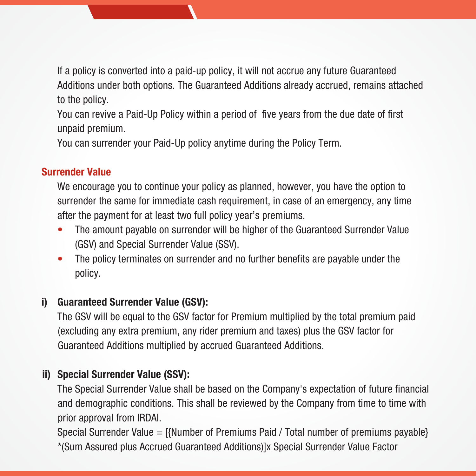If a policy is converted into a paid-up policy, it will not accrue any future Guaranteed Additions under both options. The Guaranteed Additions already accrued, remains attached to the policy.

 You can revive a Paid-Up Policy within a period of five years from the due date of first unpaid premium.

You can surrender your Paid-Up policy anytime during the Policy Term.

# Surrender Value

 We encourage you to continue your policy as planned, however, you have the option to surrender the same for immediate cash requirement, in case of an emergency, any time after the payment for at least two full policy year's premiums.

- The amount payable on surrender will be higher of the Guaranteed Surrender Value (GSV) and Special Surrender Value (SSV).
- The policy terminates on surrender and no further benefits are pavable under the policy.

# i) Guaranteed Surrender Value (GSV):

The GSV will be equal to the GSV factor for Premium multiplied by the total premium paid (excluding any extra premium, any rider premium and taxes) plus the GSV factor for Guaranteed Additions multiplied by accrued Guaranteed Additions.

# ii) Special Surrender Value (SSV):

The Special Surrender Value shall be based on the Company's expectation of future financial and demographic conditions. This shall be reviewed by the Company from time to time with prior approval from IRDAI.

 Special Surrender Value = [{Number of Premiums Paid / Total number of premiums payable} \*(Sum Assured plus Accrued Guaranteed Additions)]x Special Surrender Value Factor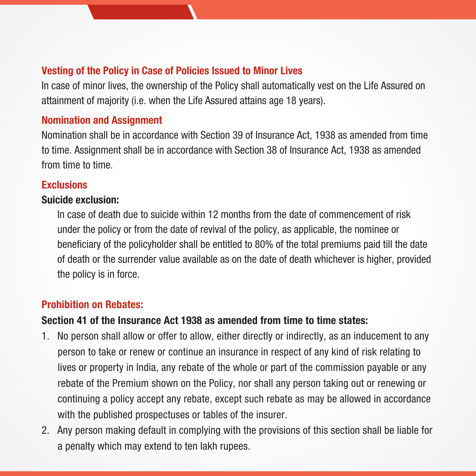# Vesting of the Policy in Case of Policies Issued to Minor Lives

In case of minor lives, the ownership of the Policy shall automatically vest on the Life Assured on attainment of majority (i.e. when the Life Assured attains age 18 years).

### Nomination and Assignment

Nomination shall be in accordance with Section 39 of Insurance Act, 1938 as amended from time to time. Assignment shall be in accordance with Section 38 of Insurance Act, 1938 as amended from time to time.

# **Exclusions**

### Suicide exclusion:

 In case of death due to suicide within 12 months from the date of commencement of risk under the policy or from the date of revival of the policy, as applicable, the nominee or beneficiary of the policyholder shall be entitled to 80% of the total premiums paid till the date of death or the surrender value available as on the date of death whichever is higher, provided the policy is in force.

# Prohibition on Rebates:

#### Section 41 of the Insurance Act 1938 as amended from time to time states:

- 1. No person shall allow or offer to allow, either directly or indirectly, as an inducement to any person to take or renew or continue an insurance in respect of any kind of risk relating to lives or property in India, any rebate of the whole or part of the commission payable or any rebate of the Premium shown on the Policy, nor shall any person taking out or renewing or continuing a policy accept any rebate, except such rebate as may be allowed in accordance with the published prospectuses or tables of the insurer.
- 2. Any person making default in complying with the provisions of this section shall be liable for a penalty which may extend to ten lakh rupees.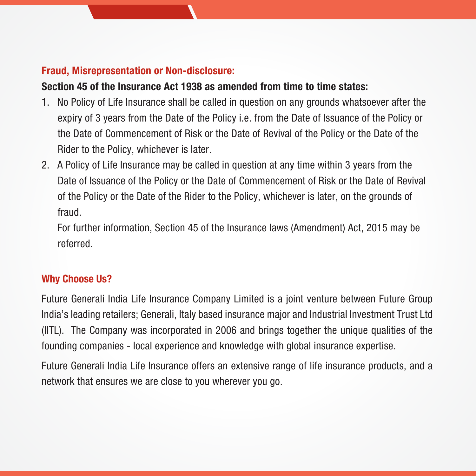# Fraud, Misrepresentation or Non-disclosure:

# Section 45 of the Insurance Act 1938 as amended from time to time states:

- 1. No Policy of Life Insurance shall be called in question on any grounds whatsoever after the expiry of 3 years from the Date of the Policy i.e. from the Date of Issuance of the Policy or the Date of Commencement of Risk or the Date of Revival of the Policy or the Date of the Rider to the Policy, whichever is later.
- 2. A Policy of Life Insurance may be called in question at any time within 3 years from the Date of Issuance of the Policy or the Date of Commencement of Risk or the Date of Revival of the Policy or the Date of the Rider to the Policy, whichever is later, on the grounds of fraud.

 For further information, Section 45 of the Insurance laws (Amendment) Act, 2015 may be referred.

# Why Choose Us?

Future Generali India Life Insurance Company Limited is a joint venture between Future Group India's leading retailers; Generali, Italy based insurance major and Industrial Investment Trust Ltd (IITL). The Company was incorporated in 2006 and brings together the unique qualities of the founding companies - local experience and knowledge with global insurance expertise.

Future Generali India Life Insurance offers an extensive range of life insurance products, and a network that ensures we are close to you wherever you go.